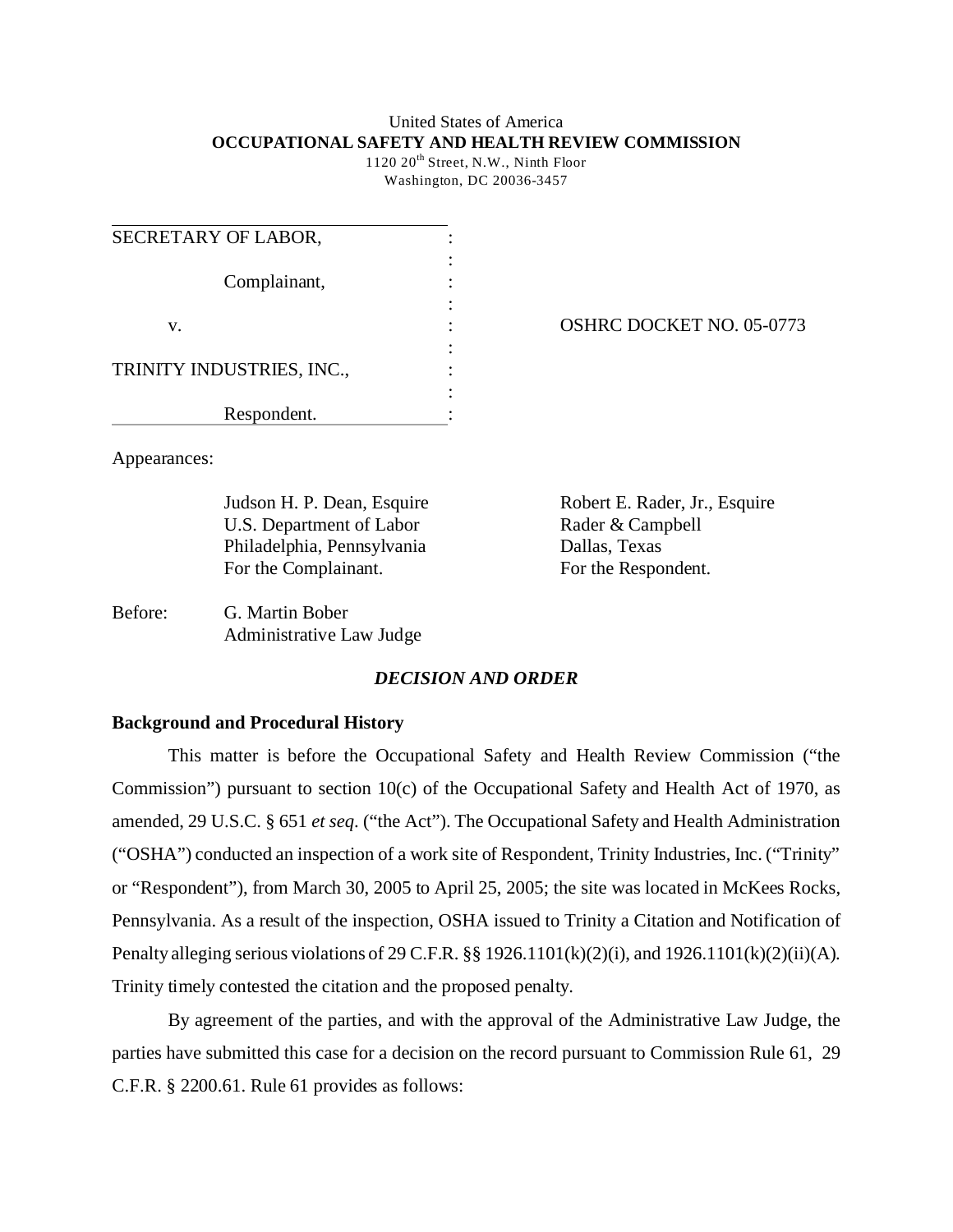## United States of America **OCCUPATIONAL SAFETY AND HEALTH REVIEW COMMISSION**

1120 20<sup>th</sup> Street, N.W., Ninth Floor Washington, DC 20036-3457

| SECRETARY OF LABOR,       |  |
|---------------------------|--|
| Complainant,              |  |
| V.                        |  |
| TRINITY INDUSTRIES, INC., |  |
| Respondent.               |  |

OSHRC DOCKET NO. 05-0773

Appearances:

U.S. Department of Labor Rader & Campbell Philadelphia, Pennsylvania Dallas, Texas For the Complainant. For the Respondent.

Judson H. P. Dean, Esquire Robert E. Rader, Jr., Esquire

Before: G. Martin Bober Administrative Law Judge

# *DECISION AND ORDER*

# **Background and Procedural History**

This matter is before the Occupational Safety and Health Review Commission ("the Commission") pursuant to section 10(c) of the Occupational Safety and Health Act of 1970, as amended, 29 U.S.C. § 651 *et seq*. ("the Act"). The Occupational Safety and Health Administration ("OSHA") conducted an inspection of a work site of Respondent, Trinity Industries, Inc. ("Trinity" or "Respondent"), from March 30, 2005 to April 25, 2005; the site was located in McKees Rocks, Pennsylvania. As a result of the inspection, OSHA issued to Trinity a Citation and Notification of Penalty alleging serious violations of 29 C.F.R. §§ 1926.1101(k)(2)(i), and 1926.1101(k)(2)(ii)(A). Trinity timely contested the citation and the proposed penalty.

By agreement of the parties, and with the approval of the Administrative Law Judge, the parties have submitted this case for a decision on the record pursuant to Commission Rule 61, 29 C.F.R. § 2200.61. Rule 61 provides as follows: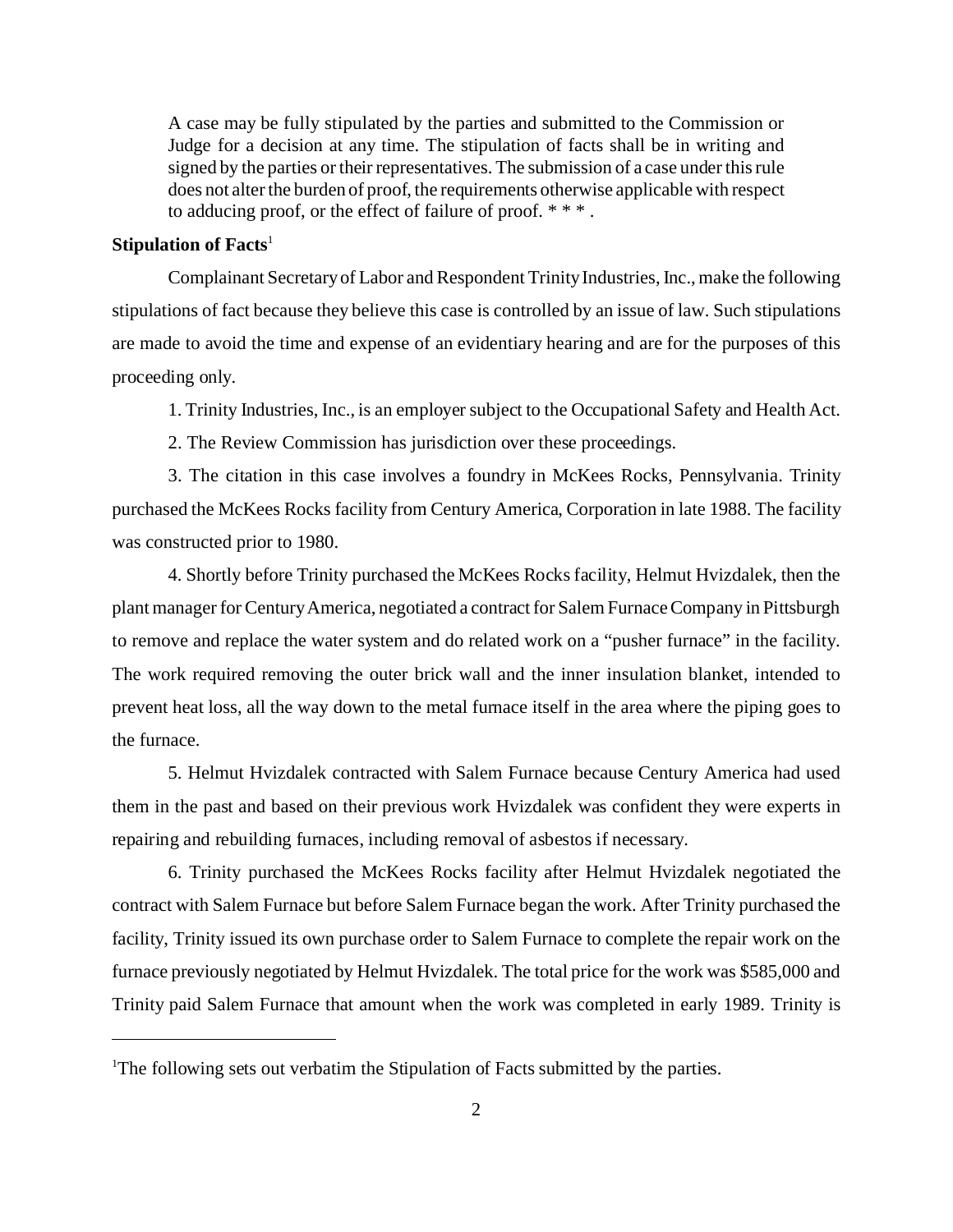A case may be fully stipulated by the parties and submitted to the Commission or Judge for a decision at any time. The stipulation of facts shall be in writing and signed by the parties or their representatives. The submission of a case under this rule does not alter the burden of proof, the requirements otherwise applicable with respect to adducing proof, or the effect of failure of proof. \* \* \* .

## **Stipulation of Facts**<sup>1</sup>

Complainant Secretary of Labor and Respondent Trinity Industries, Inc., make the following stipulations of fact because they believe this case is controlled by an issue of law. Such stipulations are made to avoid the time and expense of an evidentiary hearing and are for the purposes of this proceeding only.

1. Trinity Industries, Inc., is an employer subject to the Occupational Safety and Health Act.

2. The Review Commission has jurisdiction over these proceedings.

3. The citation in this case involves a foundry in McKees Rocks, Pennsylvania. Trinity purchased the McKees Rocks facility from Century America, Corporation in late 1988. The facility was constructed prior to 1980.

4. Shortly before Trinity purchased the McKees Rocks facility, Helmut Hvizdalek, then the plant manager for Century America, negotiated a contract for Salem Furnace Company in Pittsburgh to remove and replace the water system and do related work on a "pusher furnace" in the facility. The work required removing the outer brick wall and the inner insulation blanket, intended to prevent heat loss, all the way down to the metal furnace itself in the area where the piping goes to the furnace.

5. Helmut Hvizdalek contracted with Salem Furnace because Century America had used them in the past and based on their previous work Hvizdalek was confident they were experts in repairing and rebuilding furnaces, including removal of asbestos if necessary.

6. Trinity purchased the McKees Rocks facility after Helmut Hvizdalek negotiated the contract with Salem Furnace but before Salem Furnace began the work. After Trinity purchased the facility, Trinity issued its own purchase order to Salem Furnace to complete the repair work on the furnace previously negotiated by Helmut Hvizdalek. The total price for the work was \$585,000 and Trinity paid Salem Furnace that amount when the work was completed in early 1989. Trinity is

<sup>&</sup>lt;sup>1</sup>The following sets out verbatim the Stipulation of Facts submitted by the parties.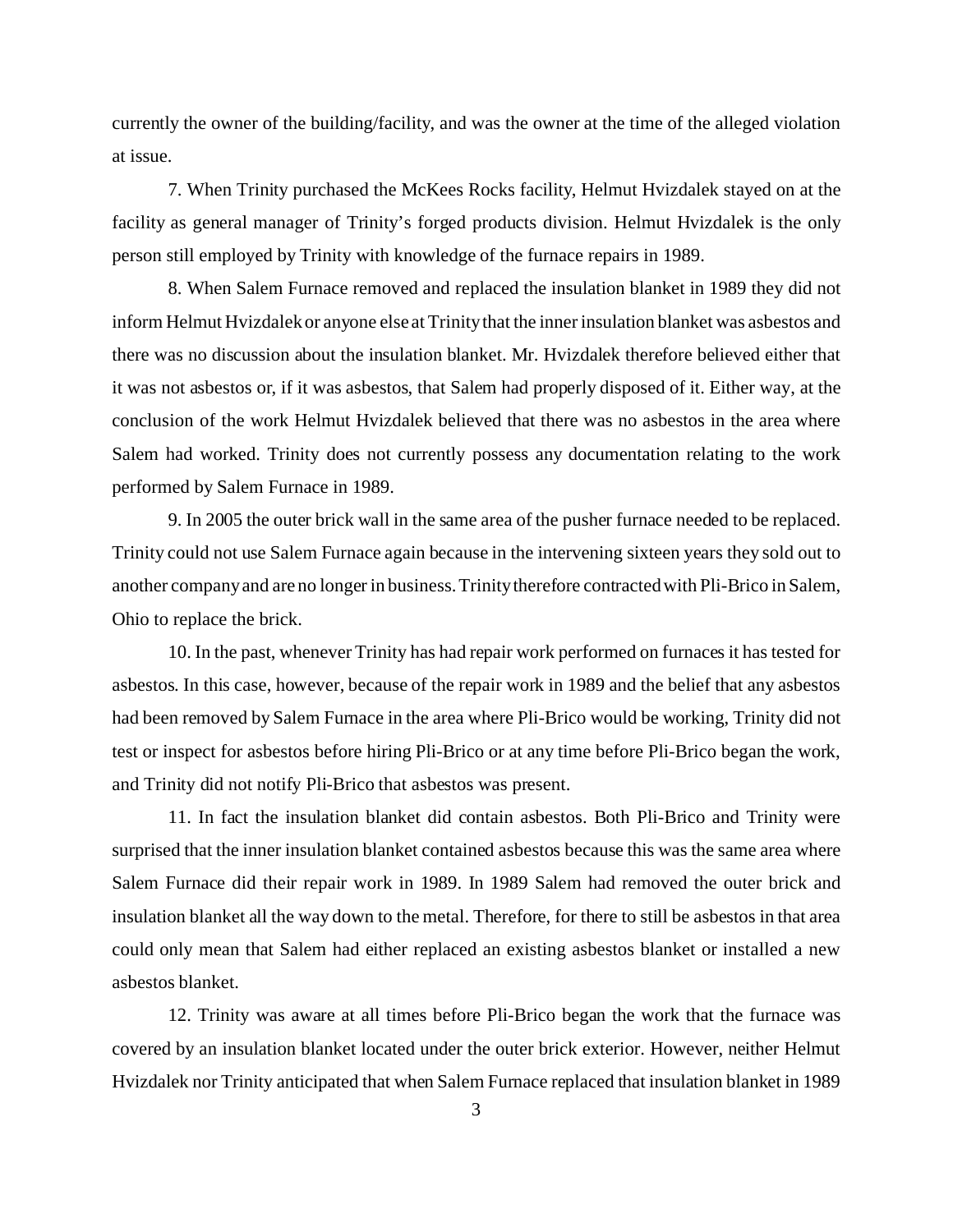currently the owner of the building/facility, and was the owner at the time of the alleged violation at issue.

7. When Trinity purchased the McKees Rocks facility, Helmut Hvizdalek stayed on at the facility as general manager of Trinity's forged products division. Helmut Hvizdalek is the only person still employed by Trinity with knowledge of the furnace repairs in 1989.

8. When Salem Furnace removed and replaced the insulation blanket in 1989 they did not inform Helmut Hvizdalek or anyone else at Trinity that the inner insulation blanket was asbestos and there was no discussion about the insulation blanket. Mr. Hvizdalek therefore believed either that it was not asbestos or, if it was asbestos, that Salem had properly disposed of it. Either way, at the conclusion of the work Helmut Hvizdalek believed that there was no asbestos in the area where Salem had worked. Trinity does not currently possess any documentation relating to the work performed by Salem Furnace in 1989.

9. In 2005 the outer brick wall in the same area of the pusher furnace needed to be replaced. Trinity could not use Salem Furnace again because in the intervening sixteen years they sold out to another company and are no longer in business. Trinity therefore contracted with Pli-Brico in Salem, Ohio to replace the brick.

10. In the past, whenever Trinity has had repair work performed on furnaces it has tested for asbestos. In this case, however, because of the repair work in 1989 and the belief that any asbestos had been removed by Salem Furnace in the area where Pli-Brico would be working, Trinity did not test or inspect for asbestos before hiring Pli-Brico or at any time before Pli-Brico began the work, and Trinity did not notify Pli-Brico that asbestos was present.

11. In fact the insulation blanket did contain asbestos. Both Pli-Brico and Trinity were surprised that the inner insulation blanket contained asbestos because this was the same area where Salem Furnace did their repair work in 1989. In 1989 Salem had removed the outer brick and insulation blanket all the way down to the metal. Therefore, for there to still be asbestos in that area could only mean that Salem had either replaced an existing asbestos blanket or installed a new asbestos blanket.

12. Trinity was aware at all times before Pli-Brico began the work that the furnace was covered by an insulation blanket located under the outer brick exterior. However, neither Helmut Hvizdalek nor Trinity anticipated that when Salem Furnace replaced that insulation blanket in 1989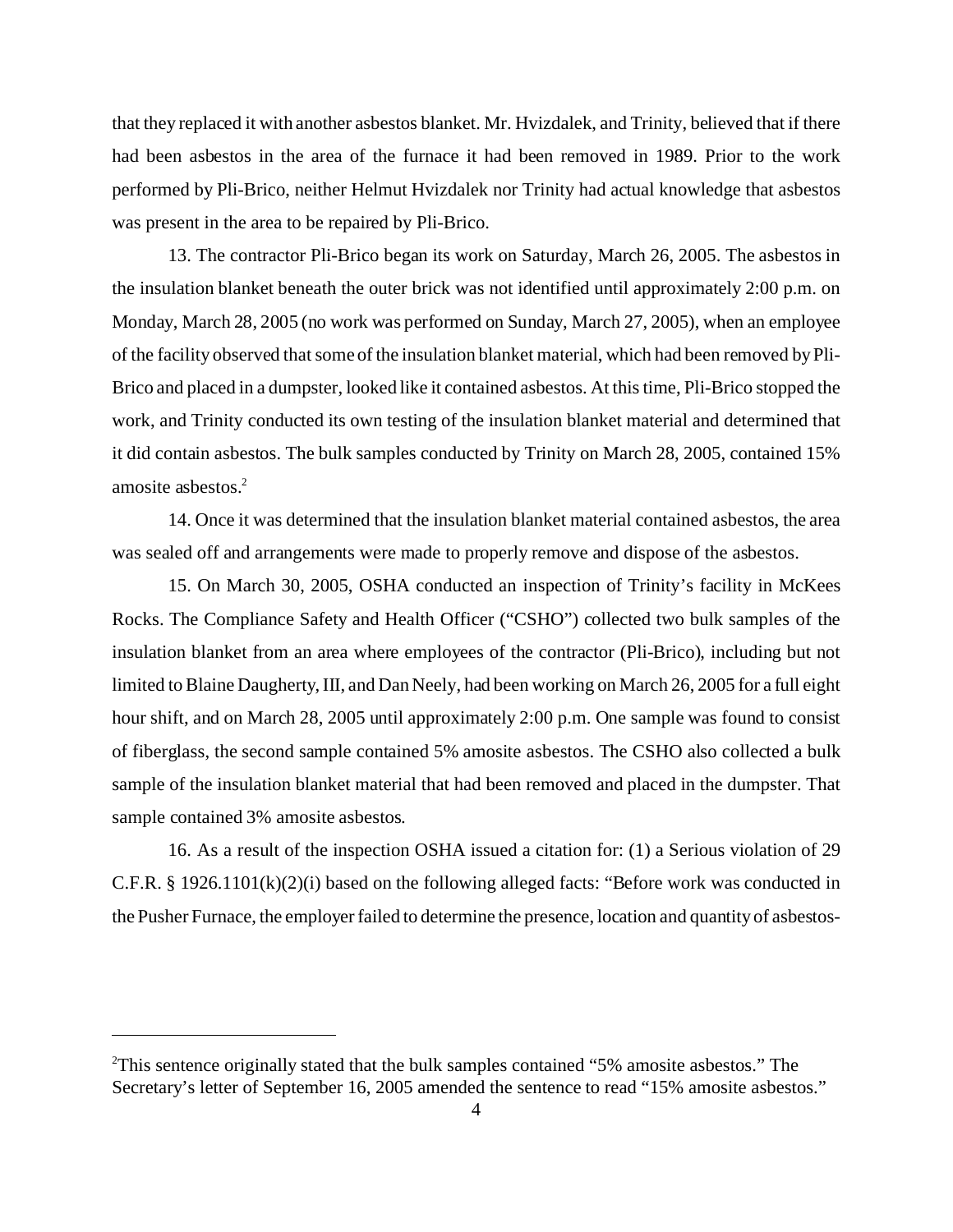that they replaced it with another asbestos blanket. Mr. Hvizdalek, and Trinity, believed that if there had been asbestos in the area of the furnace it had been removed in 1989. Prior to the work performed by Pli-Brico, neither Helmut Hvizdalek nor Trinity had actual knowledge that asbestos was present in the area to be repaired by Pli-Brico.

13. The contractor Pli-Brico began its work on Saturday, March 26, 2005. The asbestos in the insulation blanket beneath the outer brick was not identified until approximately 2:00 p.m. on Monday, March 28, 2005 (no work was performed on Sunday, March 27, 2005), when an employee of the facility observed that some of the insulation blanket material, which had been removed by Pli-Brico and placed in a dumpster, looked like it contained asbestos. At this time, Pli-Brico stopped the work, and Trinity conducted its own testing of the insulation blanket material and determined that it did contain asbestos. The bulk samples conducted by Trinity on March 28, 2005, contained 15% amosite asbestos.<sup>2</sup>

14. Once it was determined that the insulation blanket material contained asbestos, the area was sealed off and arrangements were made to properly remove and dispose of the asbestos.

15. On March 30, 2005, OSHA conducted an inspection of Trinity's facility in McKees Rocks. The Compliance Safety and Health Officer ("CSHO") collected two bulk samples of the insulation blanket from an area where employees of the contractor (Pli-Brico), including but not limited to Blaine Daugherty, III, and Dan Neely, had been working on March 26, 2005 for a full eight hour shift, and on March 28, 2005 until approximately 2:00 p.m. One sample was found to consist of fiberglass, the second sample contained 5% amosite asbestos. The CSHO also collected a bulk sample of the insulation blanket material that had been removed and placed in the dumpster. That sample contained 3% amosite asbestos.

16. As a result of the inspection OSHA issued a citation for: (1) a Serious violation of 29 C.F.R. § 1926.1101(k)(2)(i) based on the following alleged facts: "Before work was conducted in the Pusher Furnace, the employer failed to determine the presence, location and quantity of asbestos-

<sup>&</sup>lt;sup>2</sup>This sentence originally stated that the bulk samples contained "5% amosite asbestos." The Secretary's letter of September 16, 2005 amended the sentence to read "15% amosite asbestos."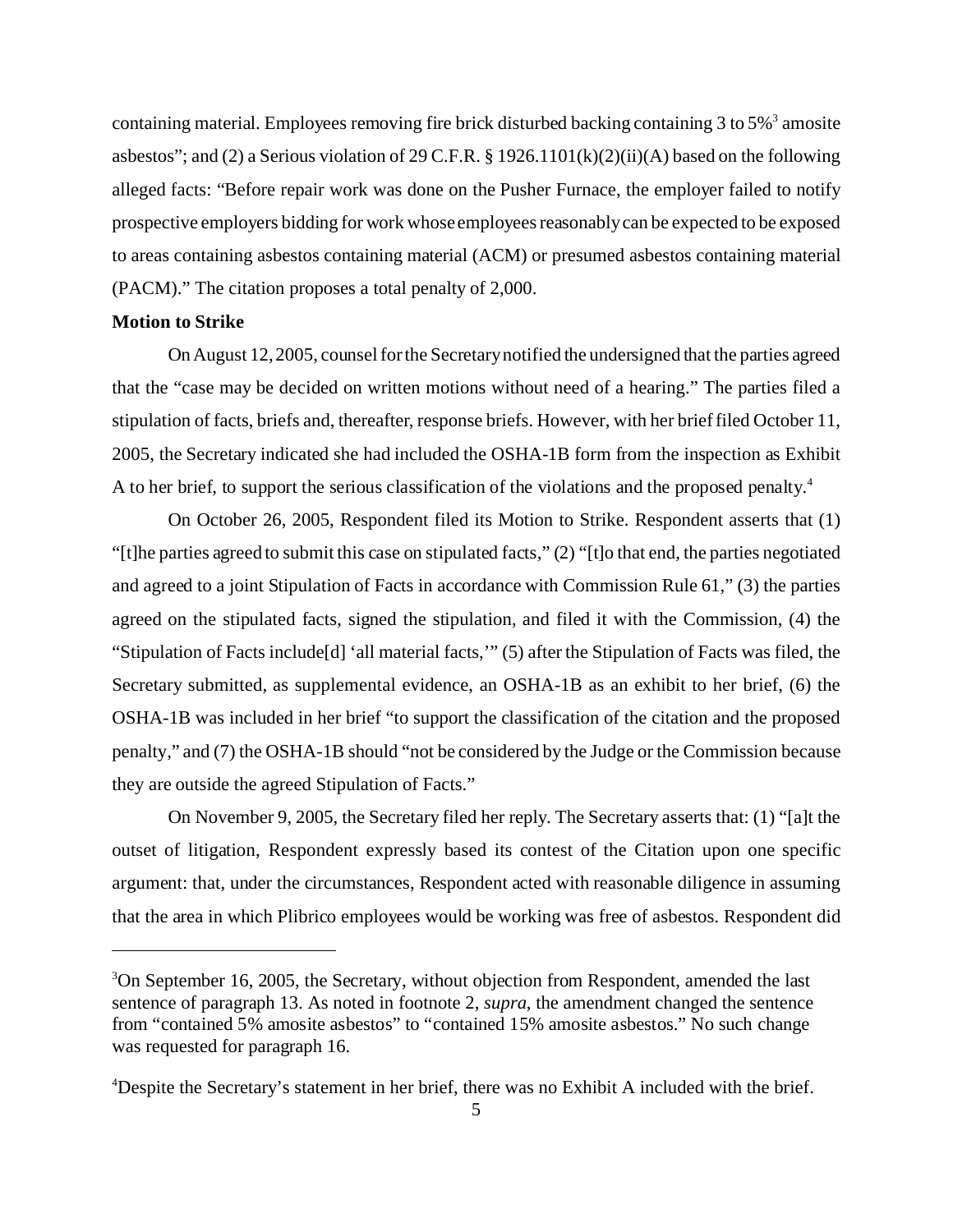containing material. Employees removing fire brick disturbed backing containing 3 to 5% $^3$  amosite asbestos"; and (2) a Serious violation of 29 C.F.R. § 1926.1101(k)(2)(ii)(A) based on the following alleged facts: "Before repair work was done on the Pusher Furnace, the employer failed to notify prospective employers bidding for work whose employees reasonably can be expected to be exposed to areas containing asbestos containing material (ACM) or presumed asbestos containing material (PACM)." The citation proposes a total penalty of 2,000.

#### **Motion to Strike**

On August 12, 2005, counsel for the Secretary notified the undersigned that the parties agreed that the "case may be decided on written motions without need of a hearing." The parties filed a stipulation of facts, briefs and, thereafter, response briefs. However, with her brief filed October 11, 2005, the Secretary indicated she had included the OSHA-1B form from the inspection as Exhibit A to her brief, to support the serious classification of the violations and the proposed penalty.<sup>4</sup>

On October 26, 2005, Respondent filed its Motion to Strike. Respondent asserts that (1) "[t]he parties agreed to submit this case on stipulated facts," (2) "[t]o that end, the parties negotiated and agreed to a joint Stipulation of Facts in accordance with Commission Rule 61," (3) the parties agreed on the stipulated facts, signed the stipulation, and filed it with the Commission, (4) the "Stipulation of Facts include[d] 'all material facts,'" (5) after the Stipulation of Facts was filed, the Secretary submitted, as supplemental evidence, an OSHA-1B as an exhibit to her brief, (6) the OSHA-1B was included in her brief "to support the classification of the citation and the proposed penalty," and (7) the OSHA-1B should "not be considered by the Judge or the Commission because they are outside the agreed Stipulation of Facts."

On November 9, 2005, the Secretary filed her reply. The Secretary asserts that: (1) "[a]t the outset of litigation, Respondent expressly based its contest of the Citation upon one specific argument: that, under the circumstances, Respondent acted with reasonable diligence in assuming that the area in which Plibrico employees would be working was free of asbestos. Respondent did

<sup>&</sup>lt;sup>3</sup>On September 16, 2005, the Secretary, without objection from Respondent, amended the last sentence of paragraph 13. As noted in footnote 2, *supra*, the amendment changed the sentence from "contained 5% amosite asbestos" to "contained 15% amosite asbestos." No such change was requested for paragraph 16.

<sup>&</sup>lt;sup>4</sup>Despite the Secretary's statement in her brief, there was no Exhibit A included with the brief.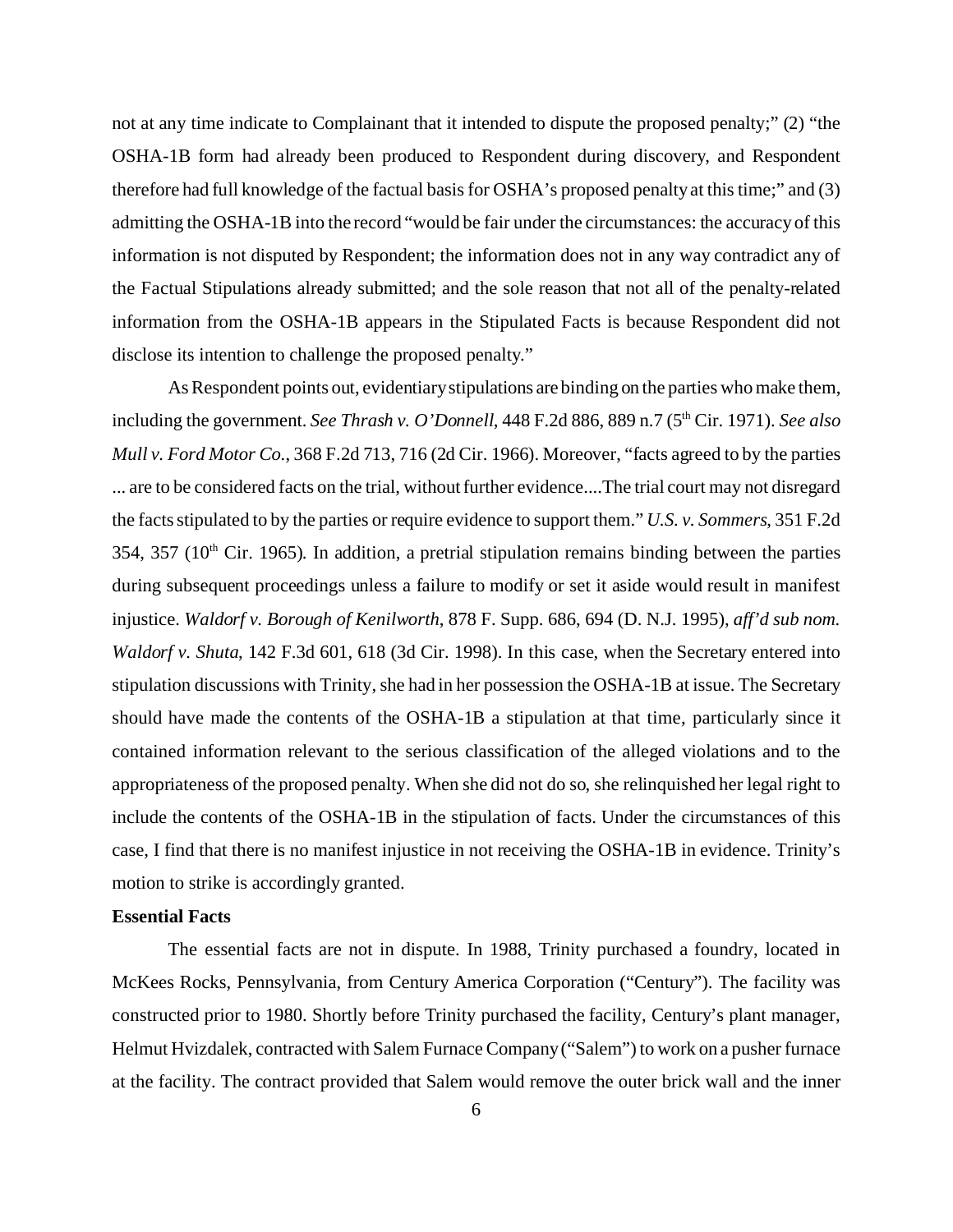not at any time indicate to Complainant that it intended to dispute the proposed penalty;" (2) "the OSHA-1B form had already been produced to Respondent during discovery, and Respondent therefore had full knowledge of the factual basis for OSHA's proposed penalty at this time;" and (3) admitting the OSHA-1B into the record "would be fair under the circumstances: the accuracy of this information is not disputed by Respondent; the information does not in any way contradict any of the Factual Stipulations already submitted; and the sole reason that not all of the penalty-related information from the OSHA-1B appears in the Stipulated Facts is because Respondent did not disclose its intention to challenge the proposed penalty."

As Respondent points out, evidentiary stipulations are binding on the parties who make them, including the government. *See Thrash v. O'Donnell*, 448 F.2d 886, 889 n.7 (5<sup>th</sup> Cir. 1971). *See also Mull v. Ford Motor Co.*, 368 F.2d 713, 716 (2d Cir. 1966). Moreover, "facts agreed to by the parties ... are to be considered facts on the trial, without further evidence....The trial court may not disregard the facts stipulated to by the parties or require evidence to support them." *U.S. v. Sommers*, 351 F.2d 354, 357 ( $10<sup>th</sup>$  Cir. 1965). In addition, a pretrial stipulation remains binding between the parties during subsequent proceedings unless a failure to modify or set it aside would result in manifest injustice. *Waldorf v. Borough of Kenilworth*, 878 F. Supp. 686, 694 (D. N.J. 1995), *aff'd sub nom. Waldorf v. Shuta*, 142 F.3d 601, 618 (3d Cir. 1998). In this case, when the Secretary entered into stipulation discussions with Trinity, she had in her possession the OSHA-1B at issue. The Secretary should have made the contents of the OSHA-1B a stipulation at that time, particularly since it contained information relevant to the serious classification of the alleged violations and to the appropriateness of the proposed penalty. When she did not do so, she relinquished her legal right to include the contents of the OSHA-1B in the stipulation of facts. Under the circumstances of this case, I find that there is no manifest injustice in not receiving the OSHA-1B in evidence. Trinity's motion to strike is accordingly granted.

#### **Essential Facts**

The essential facts are not in dispute. In 1988, Trinity purchased a foundry, located in McKees Rocks, Pennsylvania, from Century America Corporation ("Century"). The facility was constructed prior to 1980. Shortly before Trinity purchased the facility, Century's plant manager, Helmut Hvizdalek, contracted with Salem Furnace Company ("Salem") to work on a pusher furnace at the facility. The contract provided that Salem would remove the outer brick wall and the inner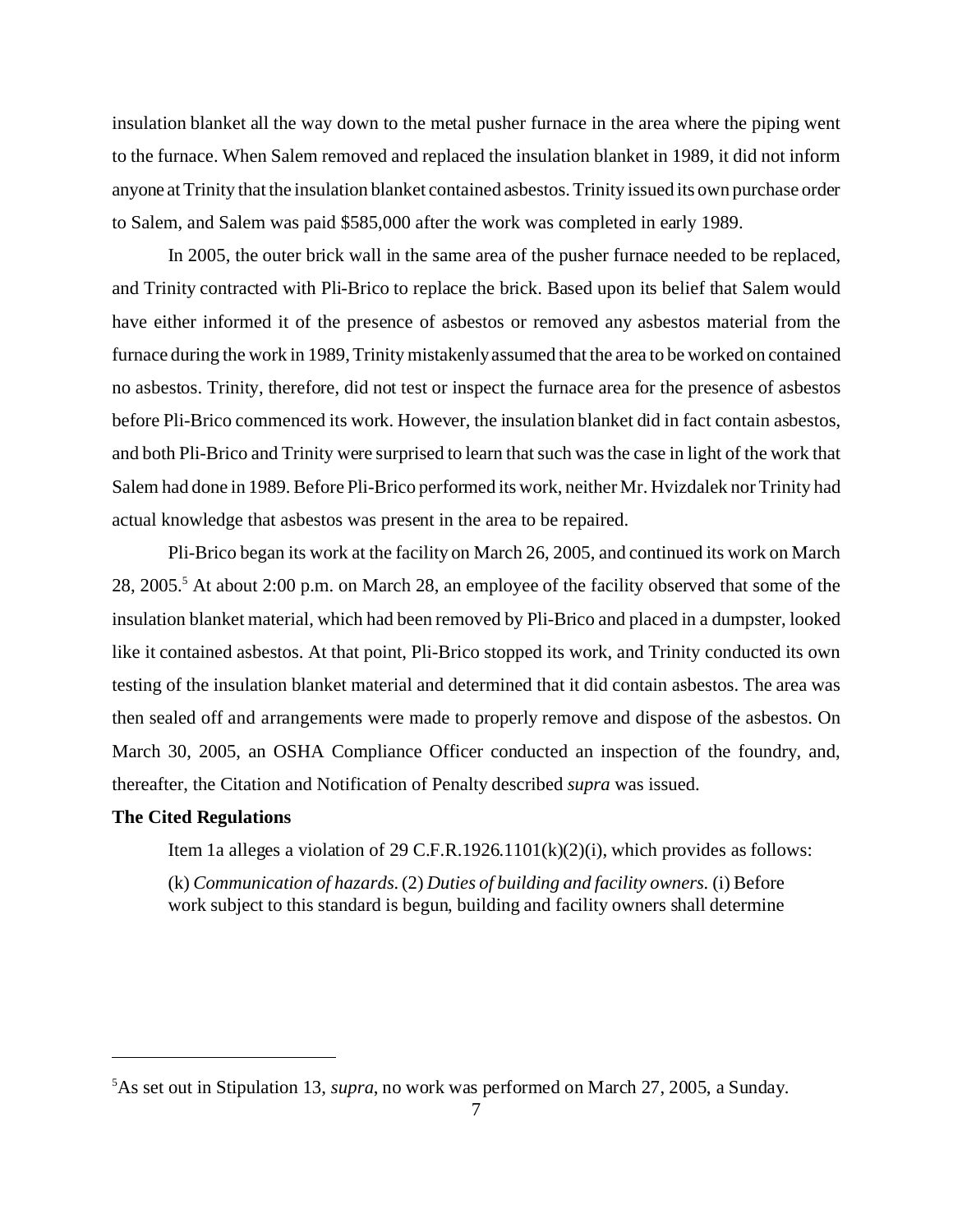insulation blanket all the way down to the metal pusher furnace in the area where the piping went to the furnace. When Salem removed and replaced the insulation blanket in 1989, it did not inform anyone at Trinity that the insulation blanket contained asbestos. Trinity issued its own purchase order to Salem, and Salem was paid \$585,000 after the work was completed in early 1989.

In 2005, the outer brick wall in the same area of the pusher furnace needed to be replaced, and Trinity contracted with Pli-Brico to replace the brick. Based upon its belief that Salem would have either informed it of the presence of asbestos or removed any asbestos material from the furnace during the work in 1989, Trinity mistakenly assumed that the area to be worked on contained no asbestos. Trinity, therefore, did not test or inspect the furnace area for the presence of asbestos before Pli-Brico commenced its work. However, the insulation blanket did in fact contain asbestos, and both Pli-Brico and Trinity were surprised to learn that such was the case in light of the work that Salem had done in 1989. Before Pli-Brico performed its work, neither Mr. Hvizdalek nor Trinity had actual knowledge that asbestos was present in the area to be repaired.

Pli-Brico began its work at the facility on March 26, 2005, and continued its work on March 28, 2005.<sup>5</sup> At about 2:00 p.m. on March 28, an employee of the facility observed that some of the insulation blanket material, which had been removed by Pli-Brico and placed in a dumpster, looked like it contained asbestos. At that point, Pli-Brico stopped its work, and Trinity conducted its own testing of the insulation blanket material and determined that it did contain asbestos. The area was then sealed off and arrangements were made to properly remove and dispose of the asbestos. On March 30, 2005, an OSHA Compliance Officer conducted an inspection of the foundry, and, thereafter, the Citation and Notification of Penalty described *supra* was issued.

## **The Cited Regulations**

Item 1a alleges a violation of 29 C.F.R.1926.1101 $(k)(2)(i)$ , which provides as follows:

(k) *Communication of hazards.* (2) *Duties of building and facility owners.* (i) Before work subject to this standard is begun, building and facility owners shall determine

<sup>5</sup> As set out in Stipulation 13, *supra*, no work was performed on March 27, 2005, a Sunday.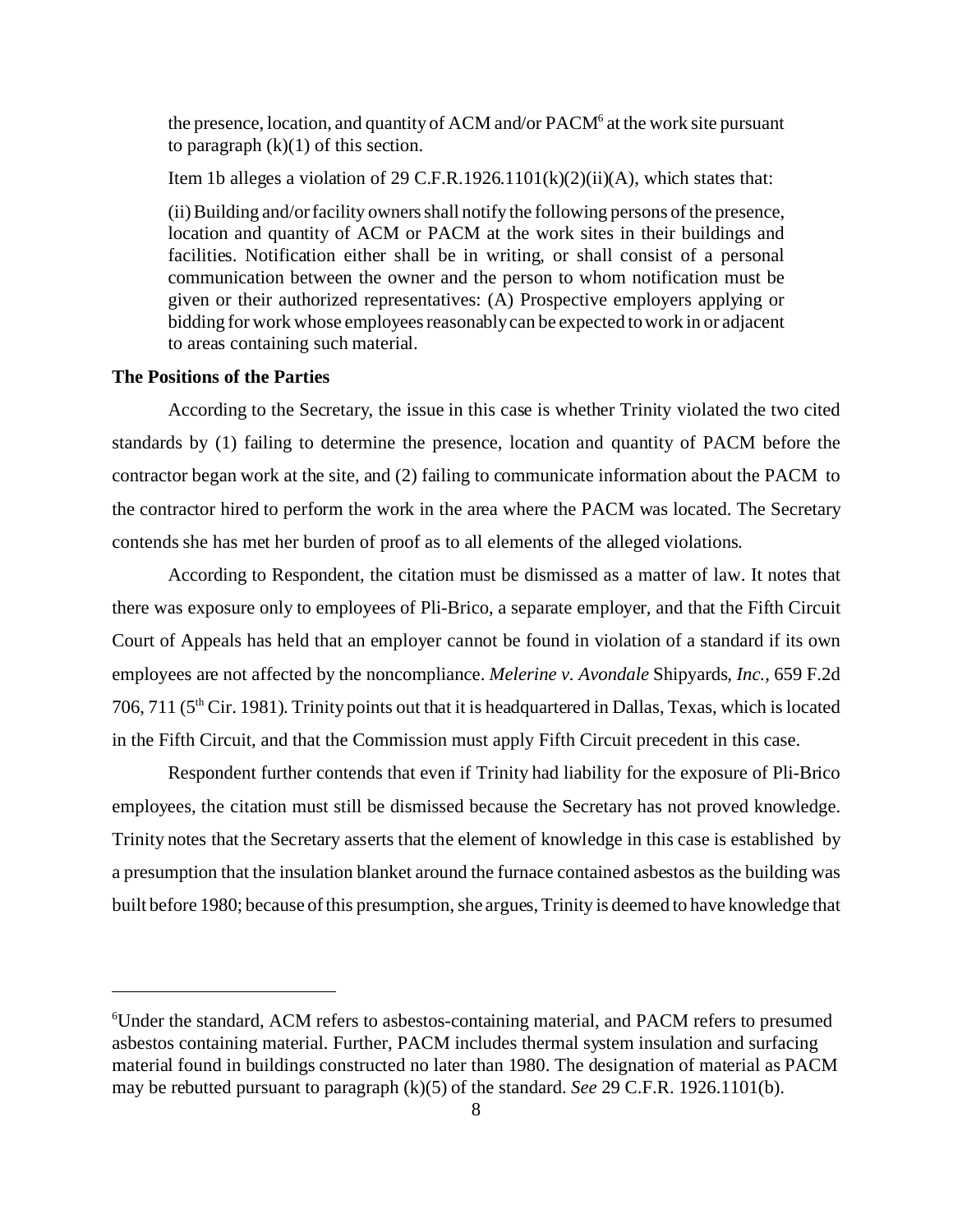the presence, location, and quantity of ACM and/or PACM<sup>6</sup> at the work site pursuant to paragraph  $(k)(1)$  of this section.

Item 1b alleges a violation of 29 C.F.R.1926.1101(k)(2)(ii)(A), which states that:

(ii)Building and/or facility owners shall notify the following persons of the presence, location and quantity of ACM or PACM at the work sites in their buildings and facilities. Notification either shall be in writing, or shall consist of a personal communication between the owner and the person to whom notification must be given or their authorized representatives: (A) Prospective employers applying or bidding for work whose employees reasonably can be expected to work in or adjacent to areas containing such material.

## **The Positions of the Parties**

According to the Secretary, the issue in this case is whether Trinity violated the two cited standards by (1) failing to determine the presence, location and quantity of PACM before the contractor began work at the site, and (2) failing to communicate information about the PACM to the contractor hired to perform the work in the area where the PACM was located. The Secretary contends she has met her burden of proof as to all elements of the alleged violations.

According to Respondent, the citation must be dismissed as a matter of law. It notes that there was exposure only to employees of Pli-Brico, a separate employer, and that the Fifth Circuit Court of Appeals has held that an employer cannot be found in violation of a standard if its own employees are not affected by the noncompliance. *Melerine v. Avondale* Shipyards*, Inc.,* 659 F.2d 706, 711 ( $5<sup>th</sup>$  Cir. 1981). Trinity points out that it is headquartered in Dallas, Texas, which is located in the Fifth Circuit, and that the Commission must apply Fifth Circuit precedent in this case.

Respondent further contends that even if Trinity had liability for the exposure of Pli-Brico employees, the citation must still be dismissed because the Secretary has not proved knowledge. Trinity notes that the Secretary asserts that the element of knowledge in this case is established by a presumption that the insulation blanket around the furnace contained asbestos as the building was built before 1980; because of this presumption, she argues, Trinity is deemed to have knowledge that

<sup>6</sup> Under the standard, ACM refers to asbestos-containing material, and PACM refers to presumed asbestos containing material. Further, PACM includes thermal system insulation and surfacing material found in buildings constructed no later than 1980. The designation of material as PACM may be rebutted pursuant to paragraph (k)(5) of the standard. *See* 29 C.F.R. 1926.1101(b).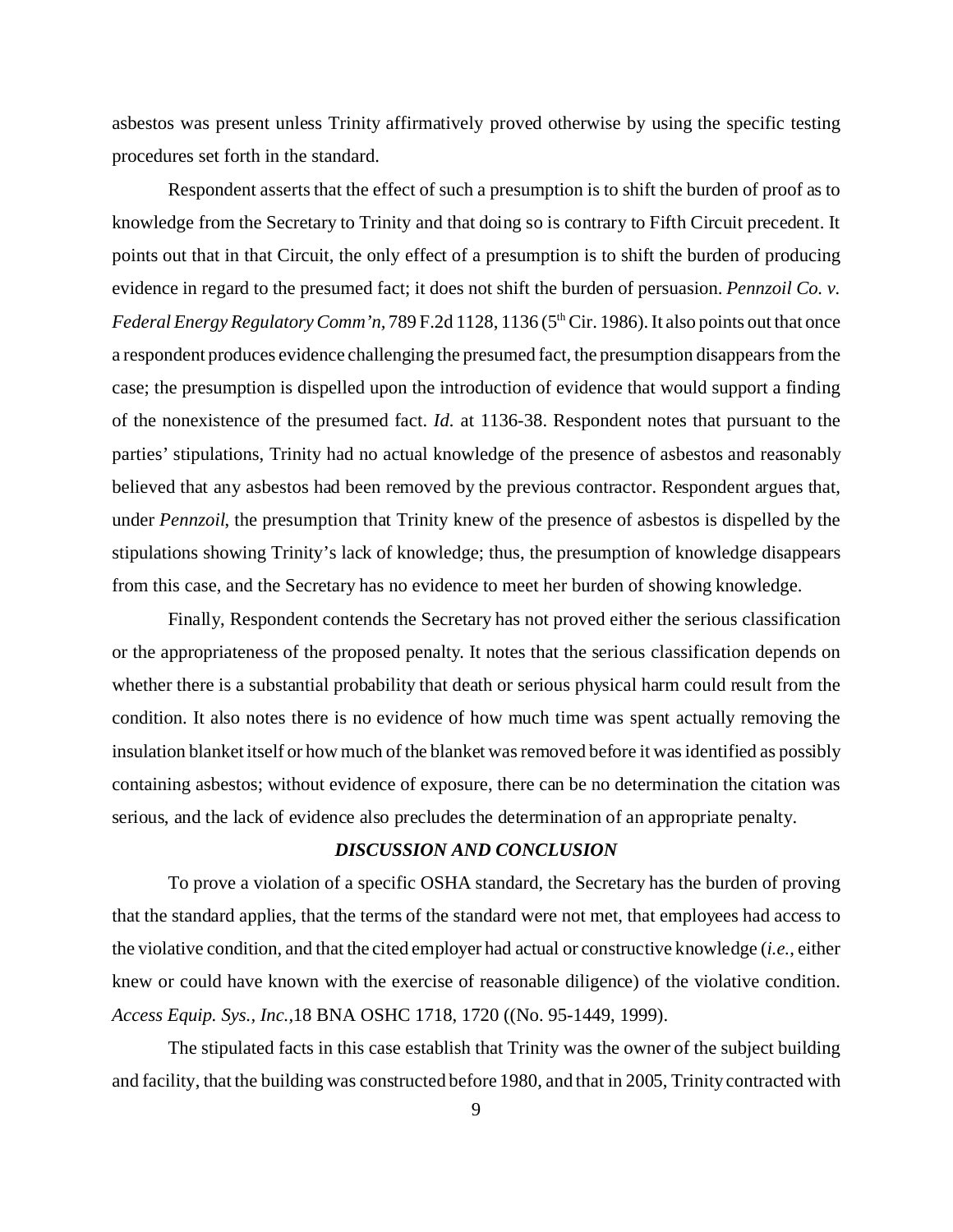asbestos was present unless Trinity affirmatively proved otherwise by using the specific testing procedures set forth in the standard.

Respondent asserts that the effect of such a presumption is to shift the burden of proof as to knowledge from the Secretary to Trinity and that doing so is contrary to Fifth Circuit precedent. It points out that in that Circuit, the only effect of a presumption is to shift the burden of producing evidence in regard to the presumed fact; it does not shift the burden of persuasion. *Pennzoil Co. v. Federal Energy Regulatory Comm'n,* 789 F.2d 1128, 1136 (5<sup>th</sup> Cir. 1986). It also points out that once a respondent produces evidence challenging the presumed fact, the presumption disappears from the case; the presumption is dispelled upon the introduction of evidence that would support a finding of the nonexistence of the presumed fact. *Id.* at 1136-38. Respondent notes that pursuant to the parties' stipulations, Trinity had no actual knowledge of the presence of asbestos and reasonably believed that any asbestos had been removed by the previous contractor. Respondent argues that, under *Pennzoil*, the presumption that Trinity knew of the presence of asbestos is dispelled by the stipulations showing Trinity's lack of knowledge; thus, the presumption of knowledge disappears from this case, and the Secretary has no evidence to meet her burden of showing knowledge.

Finally, Respondent contends the Secretary has not proved either the serious classification or the appropriateness of the proposed penalty. It notes that the serious classification depends on whether there is a substantial probability that death or serious physical harm could result from the condition. It also notes there is no evidence of how much time was spent actually removing the insulation blanket itself or how much of the blanket was removed before it was identified as possibly containing asbestos; without evidence of exposure, there can be no determination the citation was serious, and the lack of evidence also precludes the determination of an appropriate penalty.

### *DISCUSSION AND CONCLUSION*

To prove a violation of a specific OSHA standard, the Secretary has the burden of proving that the standard applies, that the terms of the standard were not met, that employees had access to the violative condition, and that the cited employer had actual or constructive knowledge (*i.e.*, either knew or could have known with the exercise of reasonable diligence) of the violative condition. *Access Equip. Sys., Inc.,*18 BNA OSHC 1718, 1720 ((No. 95-1449, 1999).

The stipulated facts in this case establish that Trinity was the owner of the subject building and facility, that the building was constructed before 1980, and that in 2005, Trinity contracted with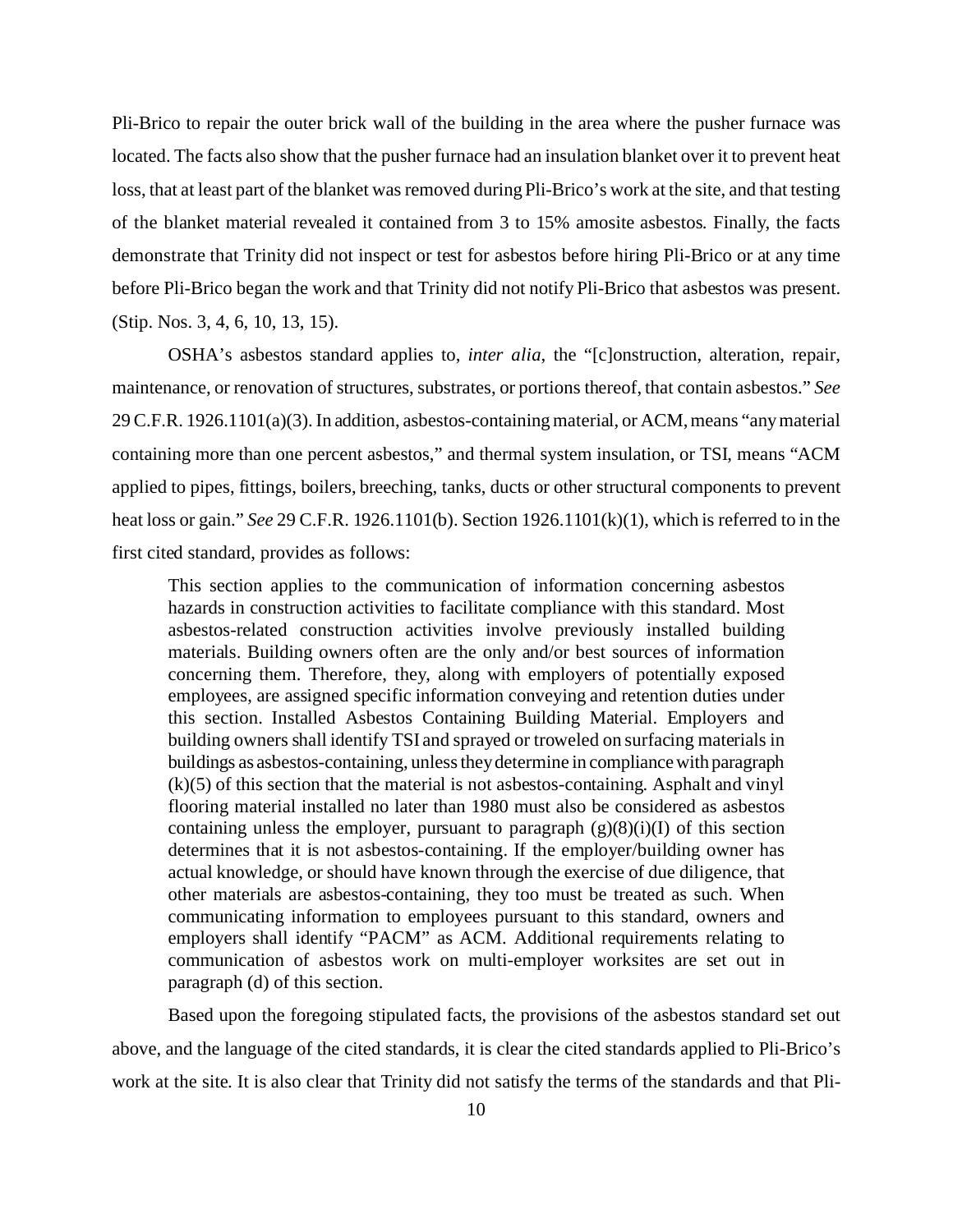Pli-Brico to repair the outer brick wall of the building in the area where the pusher furnace was located. The facts also show that the pusher furnace had an insulation blanket over it to prevent heat loss, that at least part of the blanket was removed during Pli-Brico's work at the site, and that testing of the blanket material revealed it contained from 3 to 15% amosite asbestos. Finally, the facts demonstrate that Trinity did not inspect or test for asbestos before hiring Pli-Brico or at any time before Pli-Brico began the work and that Trinity did not notify Pli-Brico that asbestos was present. (Stip. Nos. 3, 4, 6, 10, 13, 15).

OSHA's asbestos standard applies to, *inter alia*, the "[c]onstruction, alteration, repair, maintenance, or renovation of structures, substrates, or portions thereof, that contain asbestos." *See*  29 C.F.R. 1926.1101(a)(3). In addition, asbestos-containing material, or ACM, means "any material containing more than one percent asbestos," and thermal system insulation, or TSI, means "ACM applied to pipes, fittings, boilers, breeching, tanks, ducts or other structural components to prevent heat loss or gain." *See* 29 C.F.R. 1926.1101(b). Section 1926.1101(k)(1), which is referred to in the first cited standard, provides as follows:

This section applies to the communication of information concerning asbestos hazards in construction activities to facilitate compliance with this standard. Most asbestos-related construction activities involve previously installed building materials. Building owners often are the only and/or best sources of information concerning them. Therefore, they, along with employers of potentially exposed employees, are assigned specific information conveying and retention duties under this section. Installed Asbestos Containing Building Material. Employers and building owners shall identify TSI and sprayed or troweled on surfacing materials in buildings as asbestos-containing, unless they determine in compliance with paragraph (k)(5) of this section that the material is not asbestos-containing. Asphalt and vinyl flooring material installed no later than 1980 must also be considered as asbestos containing unless the employer, pursuant to paragraph  $(g)(8)(i)(I)$  of this section determines that it is not asbestos-containing. If the employer/building owner has actual knowledge, or should have known through the exercise of due diligence, that other materials are asbestos-containing, they too must be treated as such. When communicating information to employees pursuant to this standard, owners and employers shall identify "PACM" as ACM. Additional requirements relating to communication of asbestos work on multi-employer worksites are set out in paragraph (d) of this section.

Based upon the foregoing stipulated facts, the provisions of the asbestos standard set out above, and the language of the cited standards, it is clear the cited standards applied to Pli-Brico's work at the site. It is also clear that Trinity did not satisfy the terms of the standards and that Pli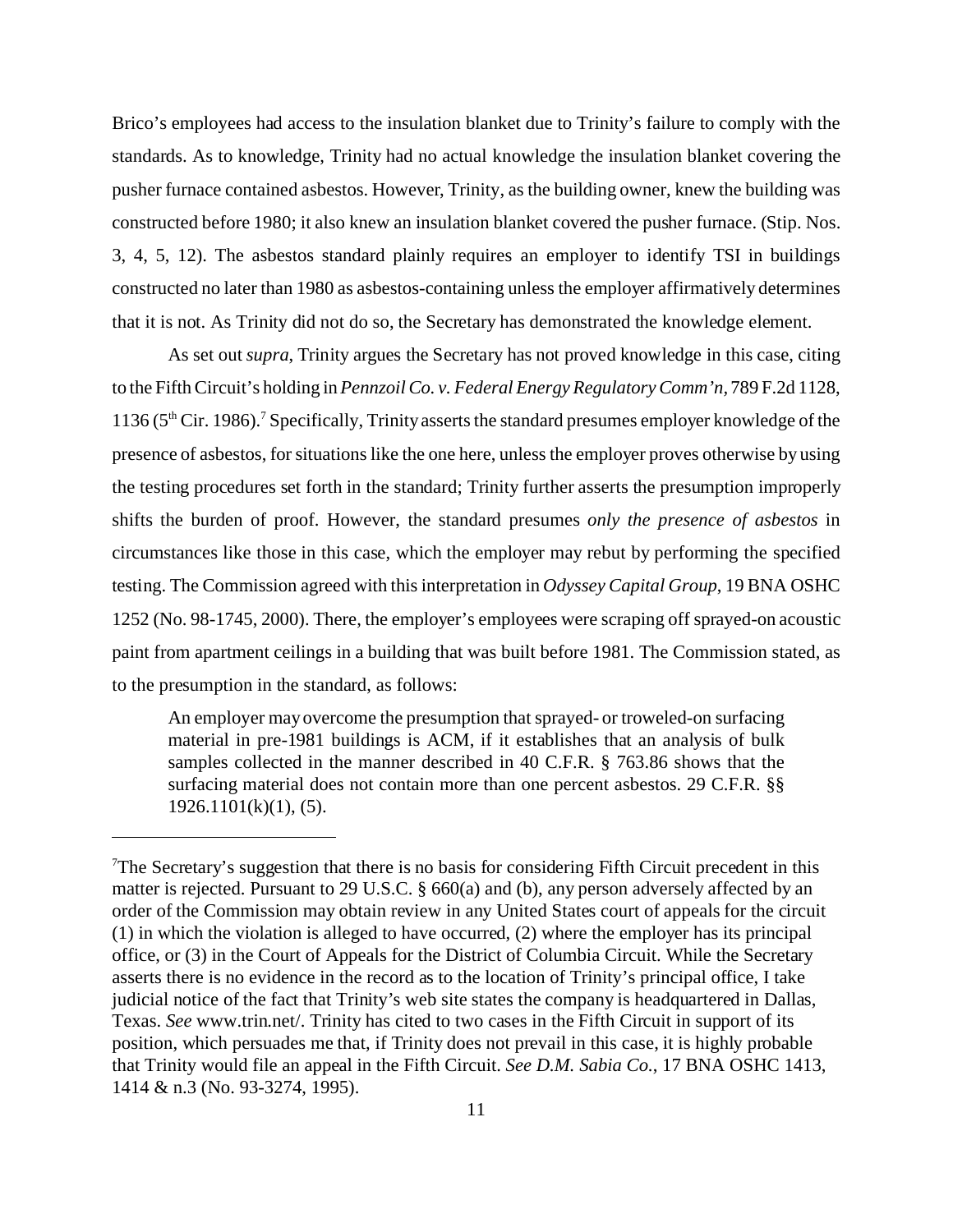Brico's employees had access to the insulation blanket due to Trinity's failure to comply with the standards. As to knowledge, Trinity had no actual knowledge the insulation blanket covering the pusher furnace contained asbestos. However, Trinity, as the building owner, knew the building was constructed before 1980; it also knew an insulation blanket covered the pusher furnace. (Stip. Nos. 3, 4, 5, 12). The asbestos standard plainly requires an employer to identify TSI in buildings constructed no later than 1980 as asbestos-containing unless the employer affirmatively determines that it is not. As Trinity did not do so, the Secretary has demonstrated the knowledge element.

As set out *supra*, Trinity argues the Secretary has not proved knowledge in this case, citing to the Fifth Circuit's holding in *Pennzoil Co. v. Federal Energy Regulatory Comm'n,* 789 F.2d 1128, 1136 (5<sup>th</sup> Cir. 1986).<sup>7</sup> Specifically, Trinity asserts the standard presumes employer knowledge of the presence of asbestos, for situations like the one here, unless the employer proves otherwise by using the testing procedures set forth in the standard; Trinity further asserts the presumption improperly shifts the burden of proof. However, the standard presumes *only the presence of asbestos* in circumstances like those in this case, which the employer may rebut by performing the specified testing. The Commission agreed with this interpretation in *Odyssey Capital Group*, 19 BNA OSHC 1252 (No. 98-1745, 2000). There, the employer's employees were scraping off sprayed-on acoustic paint from apartment ceilings in a building that was built before 1981. The Commission stated, as to the presumption in the standard, as follows:

An employer may overcome the presumption that sprayed- or troweled-on surfacing material in pre-1981 buildings is ACM, if it establishes that an analysis of bulk samples collected in the manner described in 40 C.F.R. § 763.86 shows that the surfacing material does not contain more than one percent asbestos. 29 C.F.R. §§  $1926.1101(k)(1)$ , (5).

<sup>&</sup>lt;sup>7</sup>The Secretary's suggestion that there is no basis for considering Fifth Circuit precedent in this matter is rejected. Pursuant to 29 U.S.C. § 660(a) and (b), any person adversely affected by an order of the Commission may obtain review in any United States court of appeals for the circuit (1) in which the violation is alleged to have occurred, (2) where the employer has its principal office, or (3) in the Court of Appeals for the District of Columbia Circuit. While the Secretary asserts there is no evidence in the record as to the location of Trinity's principal office, I take judicial notice of the fact that Trinity's web site states the company is headquartered in Dallas, Texas. *See* www.trin.net/. Trinity has cited to two cases in the Fifth Circuit in support of its position, which persuades me that, if Trinity does not prevail in this case, it is highly probable that Trinity would file an appeal in the Fifth Circuit. *See D.M. Sabia Co.*, 17 BNA OSHC 1413, 1414 & n.3 (No. 93-3274, 1995).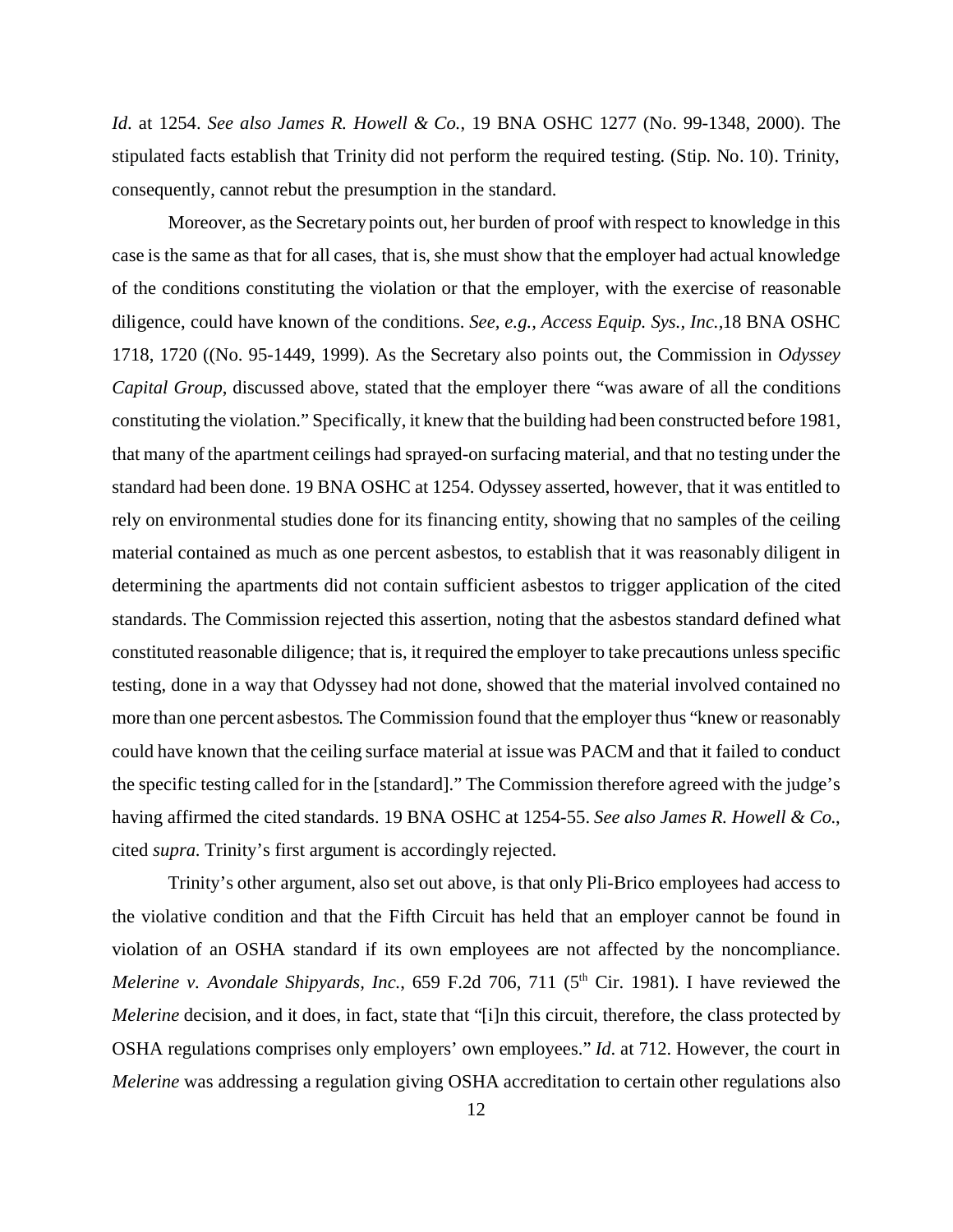*Id*. at 1254. *See also James R. Howell & Co.*, 19 BNA OSHC 1277 (No. 99-1348, 2000). The stipulated facts establish that Trinity did not perform the required testing. (Stip. No. 10). Trinity, consequently, cannot rebut the presumption in the standard.

Moreover, as the Secretary points out, her burden of proof with respect to knowledge in this case is the same as that for all cases, that is, she must show that the employer had actual knowledge of the conditions constituting the violation or that the employer, with the exercise of reasonable diligence, could have known of the conditions. *See, e.g., Access Equip. Sys., Inc.,*18 BNA OSHC 1718, 1720 ((No. 95-1449, 1999). As the Secretary also points out, the Commission in *Odyssey Capital Group*, discussed above, stated that the employer there "was aware of all the conditions constituting the violation." Specifically, it knew that the building had been constructed before 1981, that many of the apartment ceilings had sprayed-on surfacing material, and that no testing under the standard had been done. 19 BNA OSHC at 1254. Odyssey asserted, however, that it was entitled to rely on environmental studies done for its financing entity, showing that no samples of the ceiling material contained as much as one percent asbestos, to establish that it was reasonably diligent in determining the apartments did not contain sufficient asbestos to trigger application of the cited standards. The Commission rejected this assertion, noting that the asbestos standard defined what constituted reasonable diligence; that is, it required the employer to take precautions unless specific testing, done in a way that Odyssey had not done, showed that the material involved contained no more than one percent asbestos. The Commission found that the employer thus "knew or reasonably could have known that the ceiling surface material at issue was PACM and that it failed to conduct the specific testing called for in the [standard]." The Commission therefore agreed with the judge's having affirmed the cited standards. 19 BNA OSHC at 1254-55. *See also James R. Howell & Co.*, cited *supra*. Trinity's first argument is accordingly rejected.

Trinity's other argument, also set out above, is that only Pli-Brico employees had access to the violative condition and that the Fifth Circuit has held that an employer cannot be found in violation of an OSHA standard if its own employees are not affected by the noncompliance. *Melerine v. Avondale Shipyards, Inc.*, 659 F.2d 706, 711 (5<sup>th</sup> Cir. 1981). I have reviewed the *Melerine* decision, and it does, in fact, state that "[i]n this circuit, therefore, the class protected by OSHA regulations comprises only employers' own employees." *Id*. at 712. However, the court in *Melerine* was addressing a regulation giving OSHA accreditation to certain other regulations also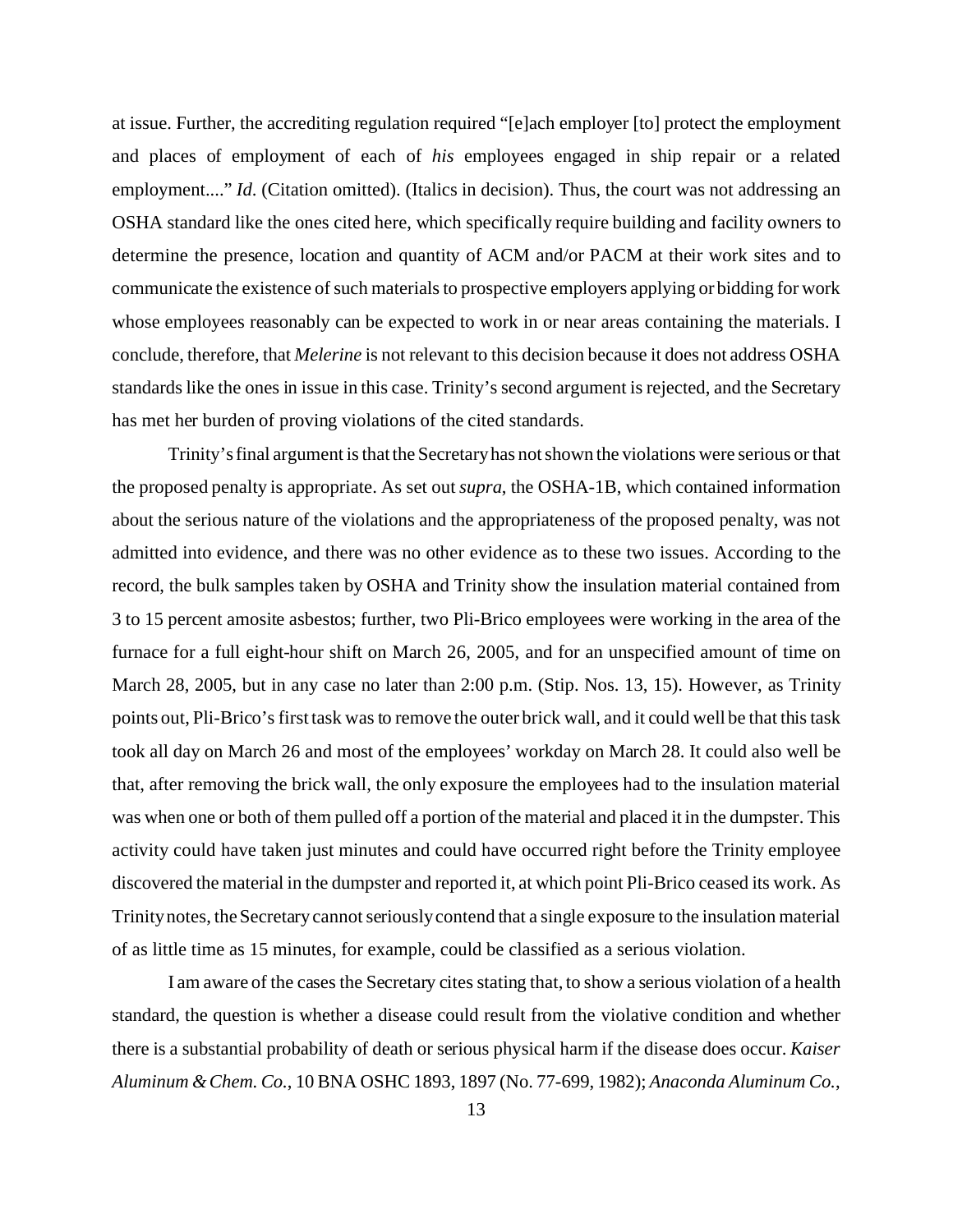at issue. Further, the accrediting regulation required "[e]ach employer [to] protect the employment and places of employment of each of *his* employees engaged in ship repair or a related employment...." *Id.* (Citation omitted). (Italics in decision). Thus, the court was not addressing an OSHA standard like the ones cited here, which specifically require building and facility owners to determine the presence, location and quantity of ACM and/or PACM at their work sites and to communicate the existence of such materials to prospective employers applying or bidding for work whose employees reasonably can be expected to work in or near areas containing the materials. I conclude, therefore, that *Melerine* is not relevant to this decision because it does not address OSHA standards like the ones in issue in this case. Trinity's second argument is rejected, and the Secretary has met her burden of proving violations of the cited standards.

Trinity's final argument is that the Secretary has not shown the violations were serious or that the proposed penalty is appropriate. As set out *supra*, the OSHA-1B, which contained information about the serious nature of the violations and the appropriateness of the proposed penalty, was not admitted into evidence, and there was no other evidence as to these two issues. According to the record, the bulk samples taken by OSHA and Trinity show the insulation material contained from 3 to 15 percent amosite asbestos; further, two Pli-Brico employees were working in the area of the furnace for a full eight-hour shift on March 26, 2005, and for an unspecified amount of time on March 28, 2005, but in any case no later than 2:00 p.m. (Stip. Nos. 13, 15). However, as Trinity points out, Pli-Brico's first task was to remove the outer brick wall, and it could well be that this task took all day on March 26 and most of the employees' workday on March 28. It could also well be that, after removing the brick wall, the only exposure the employees had to the insulation material was when one or both of them pulled off a portion of the material and placed it in the dumpster. This activity could have taken just minutes and could have occurred right before the Trinity employee discovered the material in the dumpster and reported it, at which point Pli-Brico ceased its work. As Trinity notes, the Secretary cannot seriously contend that a single exposure to the insulation material of as little time as 15 minutes, for example, could be classified as a serious violation.

I am aware of the cases the Secretary cites stating that, to show a serious violation of a health standard, the question is whether a disease could result from the violative condition and whether there is a substantial probability of death or serious physical harm if the disease does occur. *Kaiser Aluminum & Chem. Co.*, 10 BNA OSHC 1893, 1897 (No. 77-699, 1982); *Anaconda Aluminum Co.*,